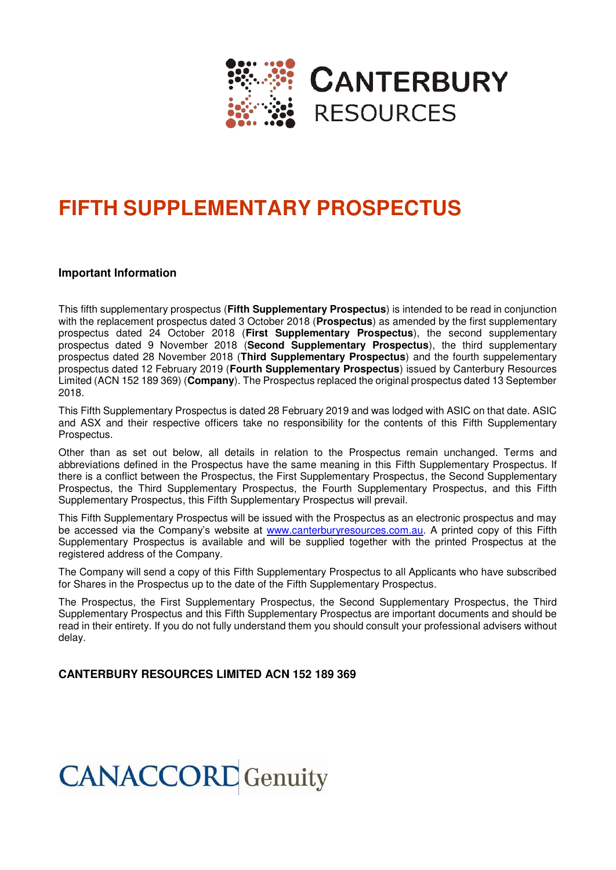

# **FIFTH SUPPLEMENTARY PROSPECTUS**

#### **Important Information**

This fifth supplementary prospectus (**Fifth Supplementary Prospectus**) is intended to be read in conjunction with the replacement prospectus dated 3 October 2018 (**Prospectus**) as amended by the first supplementary prospectus dated 24 October 2018 (**First Supplementary Prospectus**), the second supplementary prospectus dated 9 November 2018 (**Second Supplementary Prospectus**), the third supplementary prospectus dated 28 November 2018 (**Third Supplementary Prospectus**) and the fourth suppelementary prospectus dated 12 February 2019 (**Fourth Supplementary Prospectus**) issued by Canterbury Resources Limited (ACN 152 189 369) (**Company**). The Prospectus replaced the original prospectus dated 13 September 2018.

This Fifth Supplementary Prospectus is dated 28 February 2019 and was lodged with ASIC on that date. ASIC and ASX and their respective officers take no responsibility for the contents of this Fifth Supplementary Prospectus.

Other than as set out below, all details in relation to the Prospectus remain unchanged. Terms and abbreviations defined in the Prospectus have the same meaning in this Fifth Supplementary Prospectus. If there is a conflict between the Prospectus, the First Supplementary Prospectus, the Second Supplementary Prospectus, the Third Supplementary Prospectus, the Fourth Supplementary Prospectus, and this Fifth Supplementary Prospectus, this Fifth Supplementary Prospectus will prevail.

This Fifth Supplementary Prospectus will be issued with the Prospectus as an electronic prospectus and may be accessed via the Company's website at [www.canterburyresources.com.au.](http://www.canterburyresources.com.au/) A printed copy of this Fifth Supplementary Prospectus is available and will be supplied together with the printed Prospectus at the registered address of the Company.

The Company will send a copy of this Fifth Supplementary Prospectus to all Applicants who have subscribed for Shares in the Prospectus up to the date of the Fifth Supplementary Prospectus.

The Prospectus, the First Supplementary Prospectus, the Second Supplementary Prospectus, the Third Supplementary Prospectus and this Fifth Supplementary Prospectus are important documents and should be read in their entirety. If you do not fully understand them you should consult your professional advisers without delay.

### **CANTERBURY RESOURCES LIMITED ACN 152 189 369**

# **CANACCORD** Genuity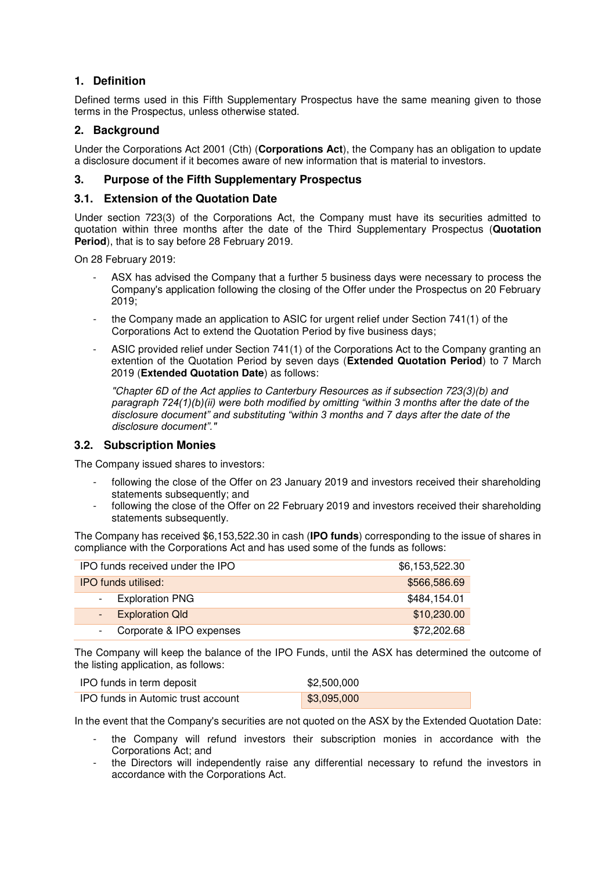## **1. Definition**

Defined terms used in this Fifth Supplementary Prospectus have the same meaning given to those terms in the Prospectus, unless otherwise stated.

#### **2. Background**

Under the Corporations Act 2001 (Cth) (**Corporations Act**), the Company has an obligation to update a disclosure document if it becomes aware of new information that is material to investors.

#### **3. Purpose of the Fifth Supplementary Prospectus**

#### **3.1. Extension of the Quotation Date**

Under section 723(3) of the Corporations Act, the Company must have its securities admitted to quotation within three months after the date of the Third Supplementary Prospectus (**Quotation Period**), that is to say before 28 February 2019.

On 28 February 2019:

- ASX has advised the Company that a further 5 business days were necessary to process the Company's application following the closing of the Offer under the Prospectus on 20 February 2019;
- the Company made an application to ASIC for urgent relief under Section 741(1) of the Corporations Act to extend the Quotation Period by five business days;
- ASIC provided relief under Section 741(1) of the Corporations Act to the Company granting an extention of the Quotation Period by seven days (**Extended Quotation Period**) to 7 March 2019 (**Extended Quotation Date**) as follows:

"Chapter 6D of the Act applies to Canterbury Resources as if subsection 723(3)(b) and *paragraph 724(1)(b)(ii) were both modified by omitting "within 3 months after the date of the disclosure document" and substituting "within 3 months and 7* days after the date of the disclos*ure document"."*

#### **3.2. Subscription Monies**

The Company issued shares to investors:

- following the close of the Offer on 23 January 2019 and investors received their shareholding statements subsequently; and
- following the close of the Offer on 22 February 2019 and investors received their shareholding statements subsequently.

The Company has received \$6,153,522.30 in cash (**IPO funds**) corresponding to the issue of shares in compliance with the Corporations Act and has used some of the funds as follows:

| IPO funds received under the IPO | \$6,153,522.30 |
|----------------------------------|----------------|
| <b>IPO funds utilised:</b>       | \$566,586.69   |
| - Exploration PNG                | \$484,154.01   |
| - Exploration Qld                | \$10,230.00    |
| Corporate & IPO expenses         | \$72,202.68    |

The Company will keep the balance of the IPO Funds, until the ASX has determined the outcome of the listing application, as follows:

| IPO funds in term deposit          | \$2,500,000               |
|------------------------------------|---------------------------|
| IPO funds in Automic trust account | $\frac{1}{2}$ \$3,095,000 |

In the event that the Company's securities are not quoted on the ASX by the Extended Quotation Date:

- the Company will refund investors their subscription monies in accordance with the Corporations Act; and
- the Directors will independently raise any differential necessary to refund the investors in accordance with the Corporations Act.